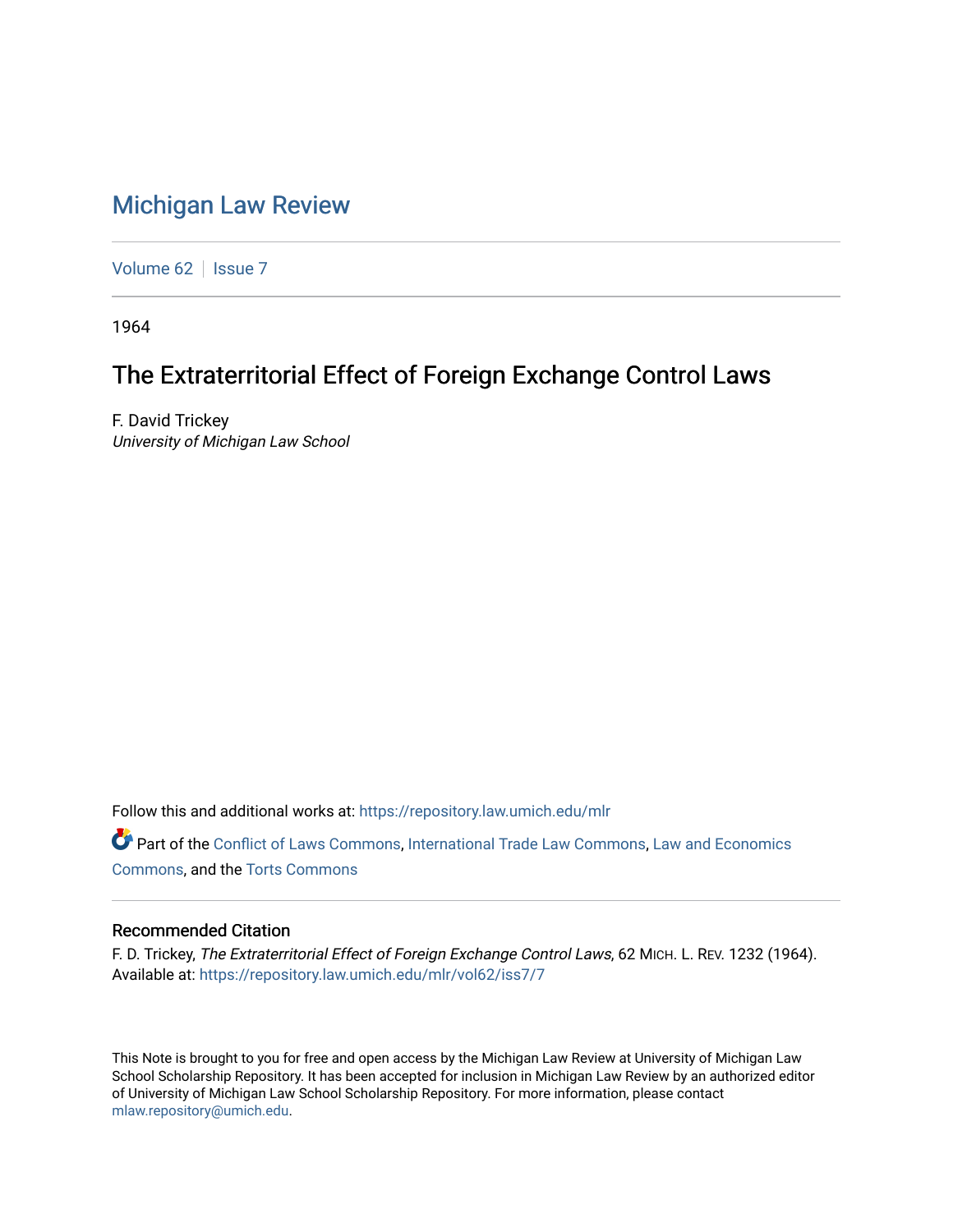## [Michigan Law Review](https://repository.law.umich.edu/mlr)

[Volume 62](https://repository.law.umich.edu/mlr/vol62) | [Issue 7](https://repository.law.umich.edu/mlr/vol62/iss7)

1964

# The Extraterritorial Effect of Foreign Exchange Control Laws

F. David Trickey University of Michigan Law School

Follow this and additional works at: [https://repository.law.umich.edu/mlr](https://repository.law.umich.edu/mlr?utm_source=repository.law.umich.edu%2Fmlr%2Fvol62%2Fiss7%2F7&utm_medium=PDF&utm_campaign=PDFCoverPages) 

Part of the [Conflict of Laws Commons,](http://network.bepress.com/hgg/discipline/588?utm_source=repository.law.umich.edu%2Fmlr%2Fvol62%2Fiss7%2F7&utm_medium=PDF&utm_campaign=PDFCoverPages) [International Trade Law Commons](http://network.bepress.com/hgg/discipline/848?utm_source=repository.law.umich.edu%2Fmlr%2Fvol62%2Fiss7%2F7&utm_medium=PDF&utm_campaign=PDFCoverPages), [Law and Economics](http://network.bepress.com/hgg/discipline/612?utm_source=repository.law.umich.edu%2Fmlr%2Fvol62%2Fiss7%2F7&utm_medium=PDF&utm_campaign=PDFCoverPages)  [Commons](http://network.bepress.com/hgg/discipline/612?utm_source=repository.law.umich.edu%2Fmlr%2Fvol62%2Fiss7%2F7&utm_medium=PDF&utm_campaign=PDFCoverPages), and the [Torts Commons](http://network.bepress.com/hgg/discipline/913?utm_source=repository.law.umich.edu%2Fmlr%2Fvol62%2Fiss7%2F7&utm_medium=PDF&utm_campaign=PDFCoverPages) 

### Recommended Citation

F. D. Trickey, The Extraterritorial Effect of Foreign Exchange Control Laws, 62 MICH. L. REV. 1232 (1964). Available at: [https://repository.law.umich.edu/mlr/vol62/iss7/7](https://repository.law.umich.edu/mlr/vol62/iss7/7?utm_source=repository.law.umich.edu%2Fmlr%2Fvol62%2Fiss7%2F7&utm_medium=PDF&utm_campaign=PDFCoverPages)

This Note is brought to you for free and open access by the Michigan Law Review at University of Michigan Law School Scholarship Repository. It has been accepted for inclusion in Michigan Law Review by an authorized editor of University of Michigan Law School Scholarship Repository. For more information, please contact [mlaw.repository@umich.edu.](mailto:mlaw.repository@umich.edu)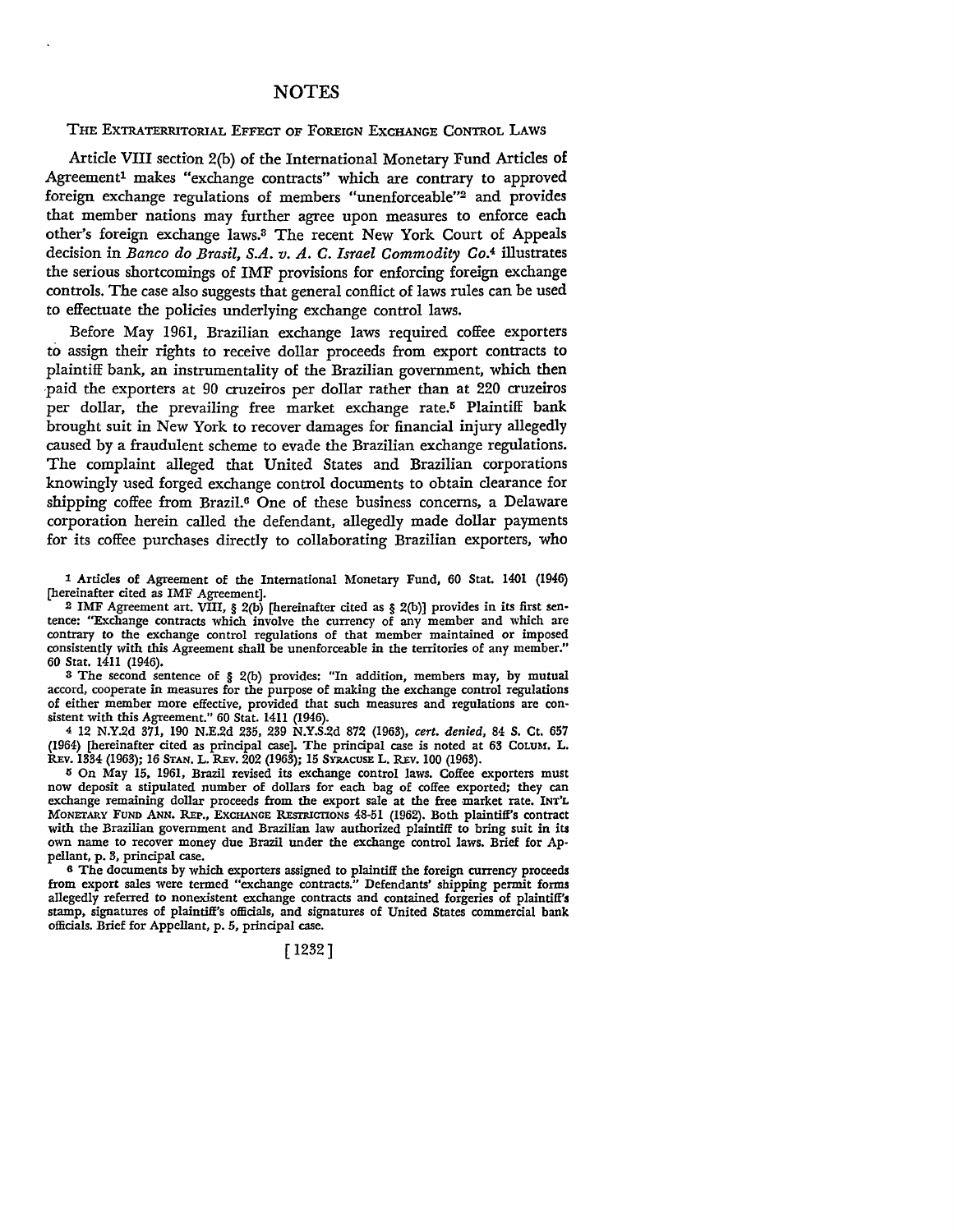#### NOTES

#### THE EXTRATERRITORIAL EFFECT OF FOREIGN EXCHANGE CONTROL LAWS

Article VIII section 2(b) of the International Monetary Fund Articles of Agreement<sup>1</sup> makes "exchange contracts" which are contrary to approved foreign exchange regulations of members "unenforceable"2 and provides that member nations may further agree upon measures to enforce each other's foreign exchange laws.3 The recent New York Court of Appeals decision in *Banco do Brasil, S.A. v. A. C. Israel Commodity* Co.4 illustrates the serious shortcomings of IMF provisions for enforcing foreign exchange controls. The case also suggests that general conflict of laws rules can be used to effectuate the policies underlying exchange control laws.

Before May 1961, Brazilian exchange laws required coffee exporters to assign their rights to receive dollar proceeds from export contracts to plaintiff bank, an instrumentality of the Brazilian government, which then -paid the exporters at 90 cruzeiros per dollar rather than at 220 cruzeiros per dollar, the prevailing free market exchange rate.<sup>5</sup> Plaintiff bank brought suit in New York to recover damages for financial injury allegedly caused by a fraudulent scheme to evade the Brazilian exchange regulations. The complaint alleged that United States and Brazilian corporations knowingly used forged exchange control documents to obtain clearance for shipping coffee from Brazil.6 One of these business concerns, a Delaware corporation herein called the defendant, allegedly made dollar payments for its coffee purchases directly to collaborating Brazilian exporters, who

l Articles of Agreement of the International Monetary Fund, 60 Stat. 1401 (1946) (hereinafter cited as IMF Agreement].

<sup>2</sup> IMF Agreement art. VIII, § 2(b) [hereinafter cited as § 2(b)] provides in its first sentence: "Exchange contracts which involve the currency of any member and which arc contrary to the exchange control regulations of that member maintained or imposed consistently with this Agreement shall be unenforceable in the territories of any member." 60 Stat. 1411 (1946).

<sup>8</sup>The second sentence of § 2(b) provides: "In addition, members may, by mutual accord, cooperate in measures for the purpose of making the exchange control regulations of either member more effective, provided that such measures and regulations are con• sistent with this Agreement." 60 Stat. 1411 (1946).

<sup>4</sup>12 N.Y.2d 371, 190 N.E.2d 235, 239 N.Y.S.2d 872 (1963), *cert. denied,* 84 S. Ct. 657 (1964) (hereinafter cited as principal case]. The principal case is noted at 63 CoLUM. L. REv. 1334 (1963); 16 STAN. L. REv. 202 (1963); 15 SYRACUSE L. REv. 100 (1963).

li On May 15, 1961, Brazil revised its exchange control laws. Coffee exporters must now deposit a stipulated number of dollars for each bag of coffee exported; they can exchange remaining dollar proceeds from the export sale at the free market rate. INT'L MONETARY FUND ANN. REP., EXCHANGE RESTRICTIONS 48-51 (1962). Both plaintiff's contract with the Brazilian government and Brazilian law authorized plaintiff to bring suit in its own name to recover money due Brazil under the exchange control laws. Brief for Appellant, p. 3, principal case.

<sup>6</sup>The documents by which exporters assigned to plaintiff the foreign currency proceeds from export sales were termed "exchange contracts." Defendants' shipping permit forms allegedly referred to nonexistent exchange contracts and contained forgeries of plaintiff's stamp, signatures of plaintiff's officials, and signatures of United States commercial bank officials. Brief for Appellant, p. 5, principal case.

[ 1232]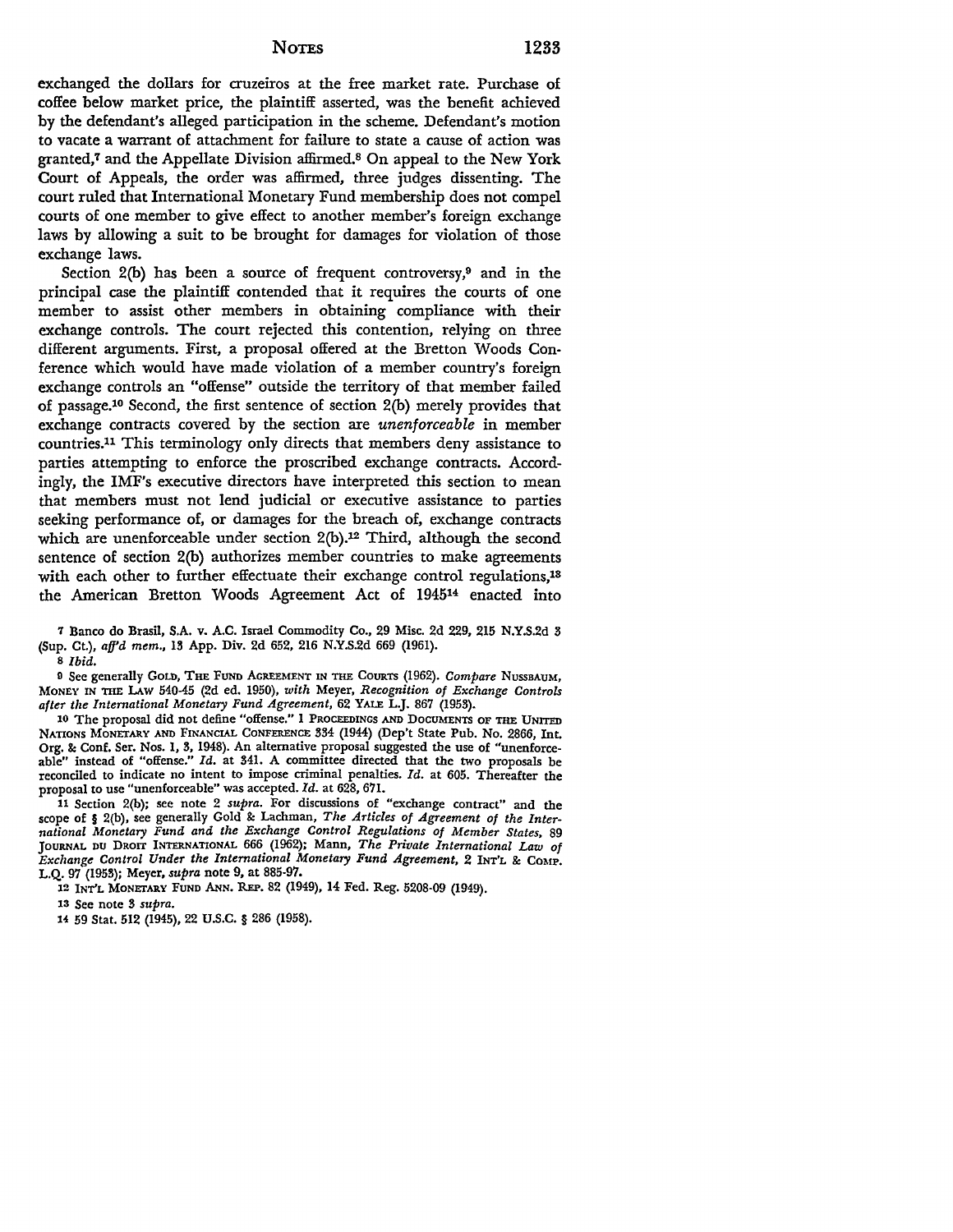exchanged the dollars for cruzeiros at the free market rate. Purchase of coffee below market price, the plaintiff asserted, was the benefit achieved by the defendant's alleged participation in the scheme. Defendant's motion to vacate a warrant of attachment for failure to state a cause of action was granted,7 and the Appellate Division affirmed.8 On appeal to the New York Court of Appeals, the order was affirmed, three judges dissenting. The court ruled that International Monetary Fund membership does not compel courts of one member to give effect to another member's foreign exchange laws by allowing a suit to be brought for damages for violation of those exchange laws.

Section  $2(b)$  has been a source of frequent controversy,<sup>9</sup> and in the principal case the plaintiff contended that it requires the courts of one member to assist other members in obtaining compliance with their exchange controls. The court rejected this contention, relying on three different arguments. First, a proposal offered at the Bretton Woods Conference which would have made violation of a member country's foreign exchange controls an "offense" outside the territory of that member failed of passage.10 Second, the first sentence of section 2(b) merely provides that exchange contracts covered by the section are *unenforceable* in member countries.11 This terminology only directs that members deny assistance to parties attempting to enforce the proscribed exchange contracts. Accordingly, the IMF's executive directors have interpreted this section to mean that members must not lend judicial or executive assistance to parties seeking performance of, or damages for the breach of, exchange contracts which are unenforceable under section  $2(b)$ .<sup>12</sup> Third, although the second sentence of section 2(b) authorizes member countries to make agreements with each other to further effectuate their exchange control regulations,<sup>18</sup> the American Bretton Woods Agreement Act of 194514 enacted into

9 See generally GoLD, THE FUND AGREEMENT IN THE COURTS (1962). *Compare* NUSSBAUM, MONEY IN THE LAw 540-45 (2d ed. 1950), *with* Meyer, *Recognition of Exchange Controls after the International Monetary Fund Agreement,* 62 YALE L.J. 867 (1953).

10 The proposal did not define "offense." 1 PROCEEDINGS AND DOCUMENTS OF THE UNITED NATIONS MONETARY AND FINANCIAL CONFERENCE 334 (1944) (Dep't State Pub. No. 2866, Int. Org. & Conf. Ser. Nos. 1, 3, 1948). An alternative proposal suggested the use of "unenforceable" instead of "offense." *Id.* at 341. A committee directed that the two proposals be reconciled to indicate no intent to impose criminal penalties. *Id.* at 605. Thereafter the proposal to use "unenforceable" was accepted. *Id.* at 628, 671.

11 Section 2(b); see note 2 *supra.* For discussions of "exchange contract" and the scope of § 2(b), see generally Gold & Lachman, *The Articles of Agreement of the International Monetary Fund and the Exchange Control Regulations of Member States,* 89 JOURNAL DU DROIT INTERNATIONAL 666 (1962); Mann, *The Private International Law of Exchange Control Under the International Monetary Fund Agreement,* 2 INT'L &: COMP. L.Q. 97 (1953); Meyer, *supra* note 9, at 885-97.

12 INT'L MONETARY FUND ANN. REP. 82 (1949), 14 Fed. Reg. 5208-09 (1949).

13 See note 3 *supra.* 

u 59 Stat. 512 (1945), 22 U.S.C. § 286 (1958).

<sup>7</sup> Banco do Brasil, S.A. v. A.C. Israel Commodity Co., 29 Misc. 2d 229, 215 N.Y.S.2d 3 (Sup. Ct.), *a/fd mem.,* 13 App. Div. 2d 652, 216 N.Y.S.2d 669 (1961).

s *Ibid.*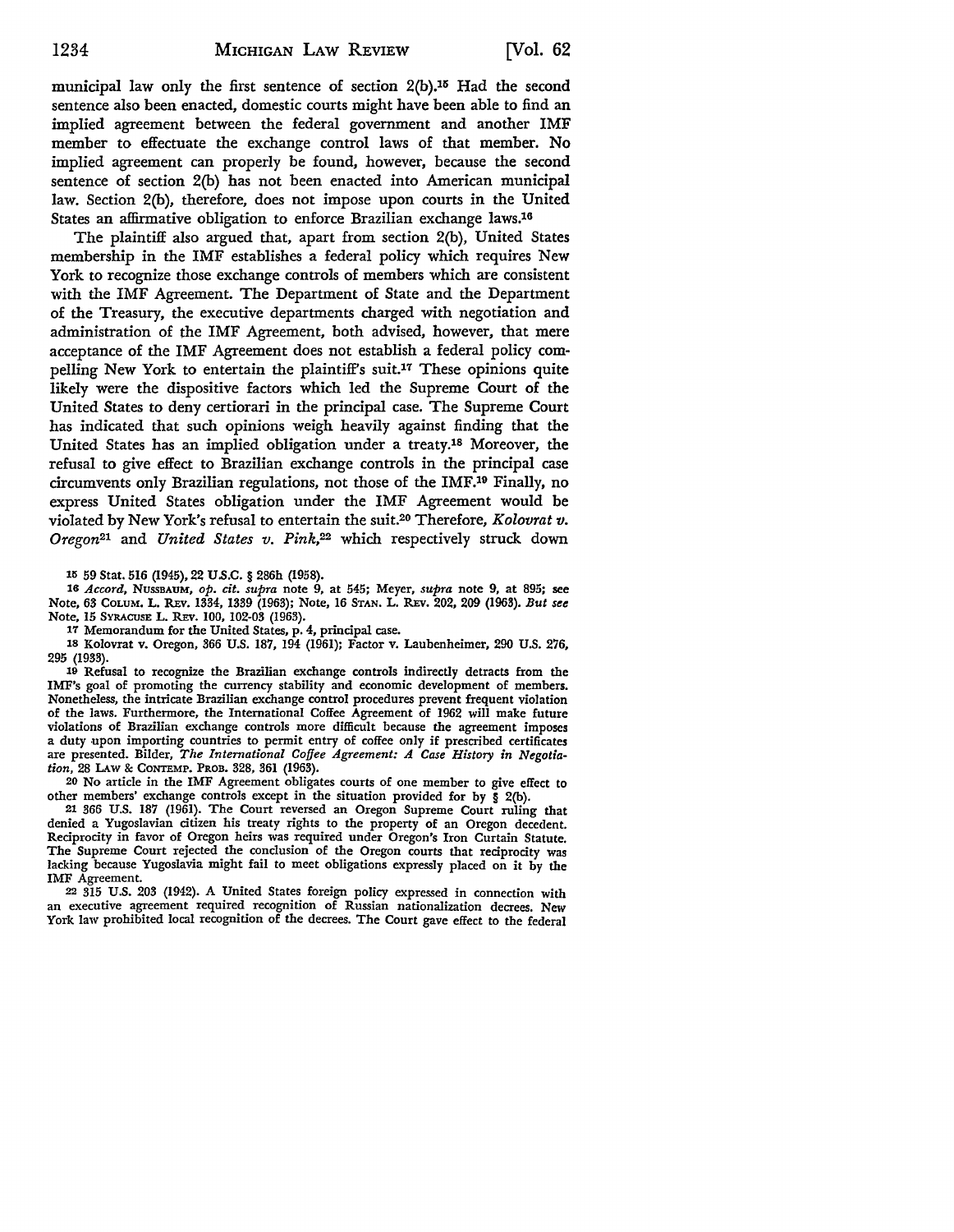municipal law only the first sentence of section 2(b).15 Had the second sentence also been enacted, domestic courts might have been able to find an implied agreement between the federal government and another IMF member to effectuate the exchange control laws of that member. No implied agreement can properly be found, however, because the second sentence of section 2(b) has not been enacted into American municipal law. Section 2(b), therefore, does not impose upon courts in the United States an affirmative obligation to enforce Brazilian exchange laws.16

The plaintiff also argued that, apart from section 2(b), United States membership in the IMF establishes a federal policy which requires New York to recognize those exchange controls of members which are consistent with the IMF Agreement. The Department of State and the Department of the Treasury, the executive departments charged with negotiation and administration of the IMF Agreement, both advised, however, that mere acceptance of the IMF Agreement does not establish a federal policy compelling New York to entertain the plaintiff's suit.<sup>17</sup> These opinions quite likely were the dispositive factors which led the Supreme Court of the United States to deny certiorari in the principal case. The Supreme Court has indicated that such opinions weigh heavily against finding that the United States has an implied obligation under a treaty.18 Moreover, the refusal to give effect to Brazilian exchange controls in the principal case circumvents only Brazilian regulations, not those of the IMF.19 Finally, no express United States obligation under the IMF Agreement would be violated by New York's refusal to entertain the suit.20 Therefore, *Kolovrat v. Oregon21* and *United States v. Pink,22* which respectively struck down

15 59 Stat. 516 (1945), 22 U.S.C. § 286h (1958).

16 *Accord,* NussBAUM, *op. cit. supra* note 9, at 545; Meyer, *supra* note 9, at 895; see Note, 63 CoLuM. L. REv. 1334, 1339 (1963); Note, 16 STAN. L. R.Ev. 202, 209 (1963). *But see*  Note, 15 SYRACUSE L. REV. 100, 102-03 (1963).

17 Memorandum for the United States, p. 4, principal case.

18 Kolovrat v. Oregon, 366 U.S. 187, 194 (1961); Factor v. Laubenheimer, 290 U.S. 276, 295 (1933).

19 Refusal to recognize the Brazilian exchange controls indirectly detracts from the IMF's goal of promoting the currency stability and economic development of members. Nonetheless, the intricate Brazilian exchange control procedures prevent frequent violation of the laws. Furthermore, the International Coffee Agreement of 1962 will make future violations of Brazilian exchange controls more difficult because the agreement imposes a duty upon importing countries to permit entry of coffee only if prescribed certificates are presented. Bilder, *The International Coffee Agreement: A Case History in Negotiation,* 28 LAw & CONTEMP. PROB. 328, 361 (1963).

20 No article in the IMF Agreement obligates courts of one member to give effect to other members' exchange controls except in the situation provided for by § 2(b).

21 366 U.S. 187 (1961). The Court reversed an Oregon Supreme Court ruling that denied a Yugoslavian citizen his treaty rights to the property of an Oregon decedent. Reciprocity in favor of Oregon heirs was required under Oregon's Iron Curtain Statute. The Supreme Court rejected the conclusion of the Oregon courts that reciprocity was lacking because Yugoslavia might fail to meet obligations expressly placed on it by the IMF Agreement.

22 315 U.S. 203 (1942). A United States foreign policy expressed in connection with an executive agreement required recognition of Russian nationalization decrees. New York law prohibited local recognition of the decrees. The Court gave effect to the federal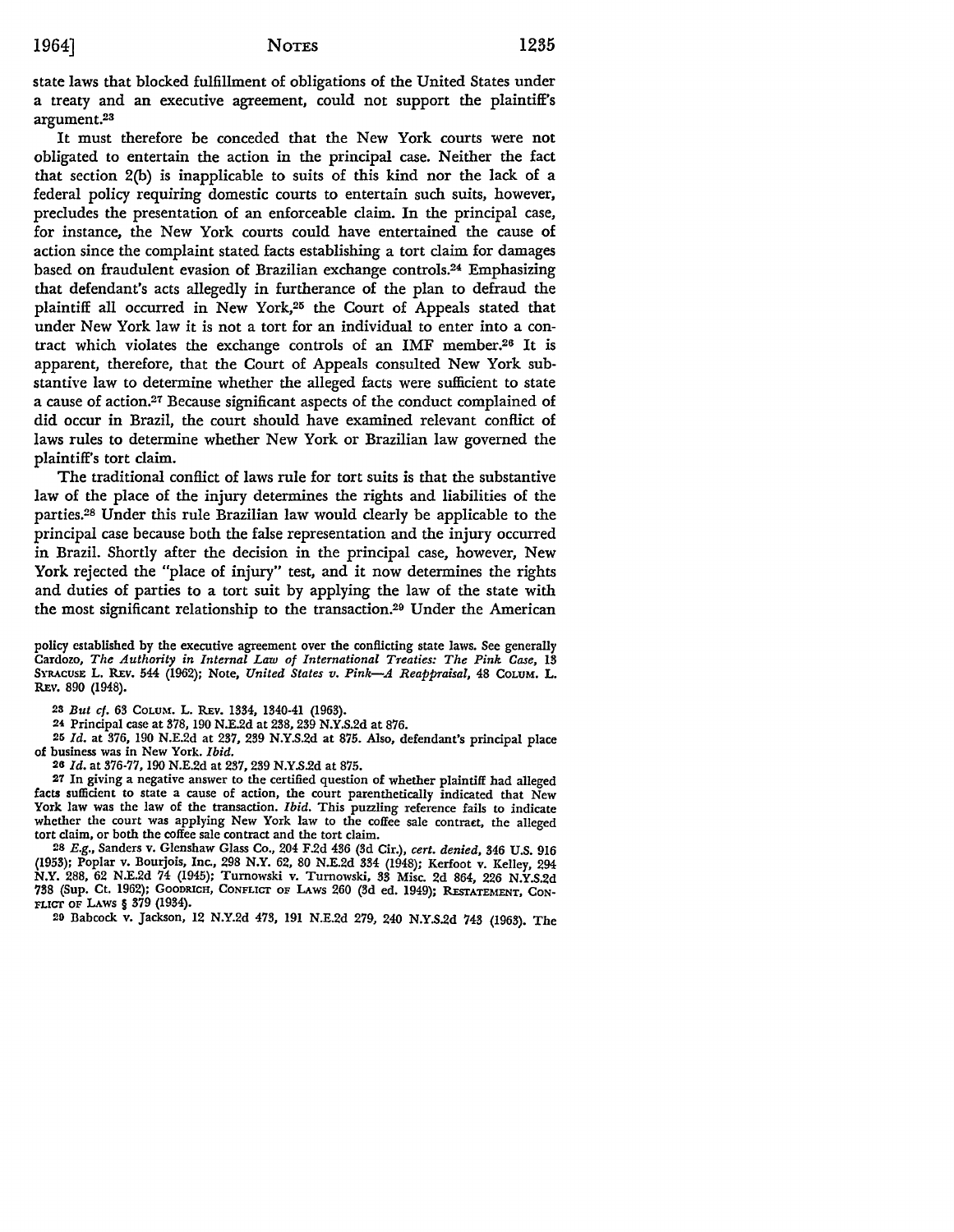state laws that blocked fulfillment of obligations of the United States under a treaty and an executive agreement, could not support the plaintiff's argument.<sup>23</sup>

It must therefore be conceded that the New York courts were not obligated to entertain the action in the principal case. Neither the fact that section 2(b) is inapplicable to suits of this kind nor the lack of a federal policy requiring domestic courts to entertain such suits, however, precludes the presentation of an enforceable claim. In the principal case, for instance, the New York courts could have entertained the cause of action since the complaint stated facts establishing a tort claim for damages based on fraudulent evasion of Brazilian exchange controls.24 Emphasizing that defendant's acts allegedly in furtherance of the plan to defraud the plaintiff all occurred in New York,25 the Court of Appeals stated that under New York law it is not a tort for an individual to enter into a contract which violates the exchange controls of an IMF member.26 It is apparent, therefore, that the Court of Appeals consulted New York substantive law to determine whether the alleged facts were sufficient to state a cause of action.27 Because significant aspects of the conduct complained of did occur in Brazil, the court should have examined relevant conflict of laws rules to determine whether New York or Brazilian law governed the plaintiff's tort claim.

The traditional conflict of laws rule for tort suits is that the substantive law of the place of the injury determines the rights and liabilities of the parties.28 Under this rule Brazilian law would clearly be applicable to the principal case because both the false representation and the injury occurred in Brazil. Shortly after the decision in the principal case, however, New York rejected the "place of injury" test, and it now determines the rights and duties of parties to a tort suit by applying the law of the state with the most significant relationship to the transaction.29 Under the American

policy established by the executive agreement over the conflicting state laws. See generally Cardozo, *The Authority in Internal Law of International Treaties: The Pink Case,* 13 SYRACUSE L. REv. 544 (1962); Note, *United States v. Pink-A Reappraisal,* 48 CoLUM. L. REV. 890 (1948).

23 *But cf.* 63 CoLUM. L. REv. 1334, 1340-41 (1963).

24 Principal case at 378, 190 N.E.2d at 238,239 N.Y.S.2d at 876.

25 *Id.* at 376, 190 N.E.2d at 237, 239 N.Y.S.2d at 875. Also, defendant's principal place of business was in New York. *Ibid.* 

26 *Id.* at 376-77, 190 N.E.2d at 237,239 N.Y.S.2d at 875.

27 In giving a negative answer to the certified question of whether plaintiff had alleged facts sufficient to state a cause of action, the court parenthetically indicated that New York law was the law of the transaction. *Ibid*. This puzzling reference fails to indicate whether the court was applying New York law to the coffee sale contract, the alleged tort claim, or both the coffee sale contract and the tort claim.

28 E.g., Sanders v. Glenshaw Glass Co., 204 F.2d 436 (3d Cir.), *cert. denied,* 346 U.S. 916 (1953); Poplar v. Bourjois, Inc., 298 N.Y. 62, 80 N.E.2d 334 (1948); Kerfoot v. Kelley, 294 **N.Y.** 288, 62 N.E.2d 74 (1945); Tumowski v. Tumowski, 33 Misc. 2d 864, 226 N.Y.S.2d 738 (Sup. Ct. 1962); GOODRICH, CONFLICT OF LAws 260 (3d ed. 1949); REsrATEMENT, CON-FLICT OF LAws § 379 (1934).

20 Babcock v. Jackson, 12 N.Y.2d 473, 191 N.E.2d 279, 240 N.Y.S.2d 743 (1963). The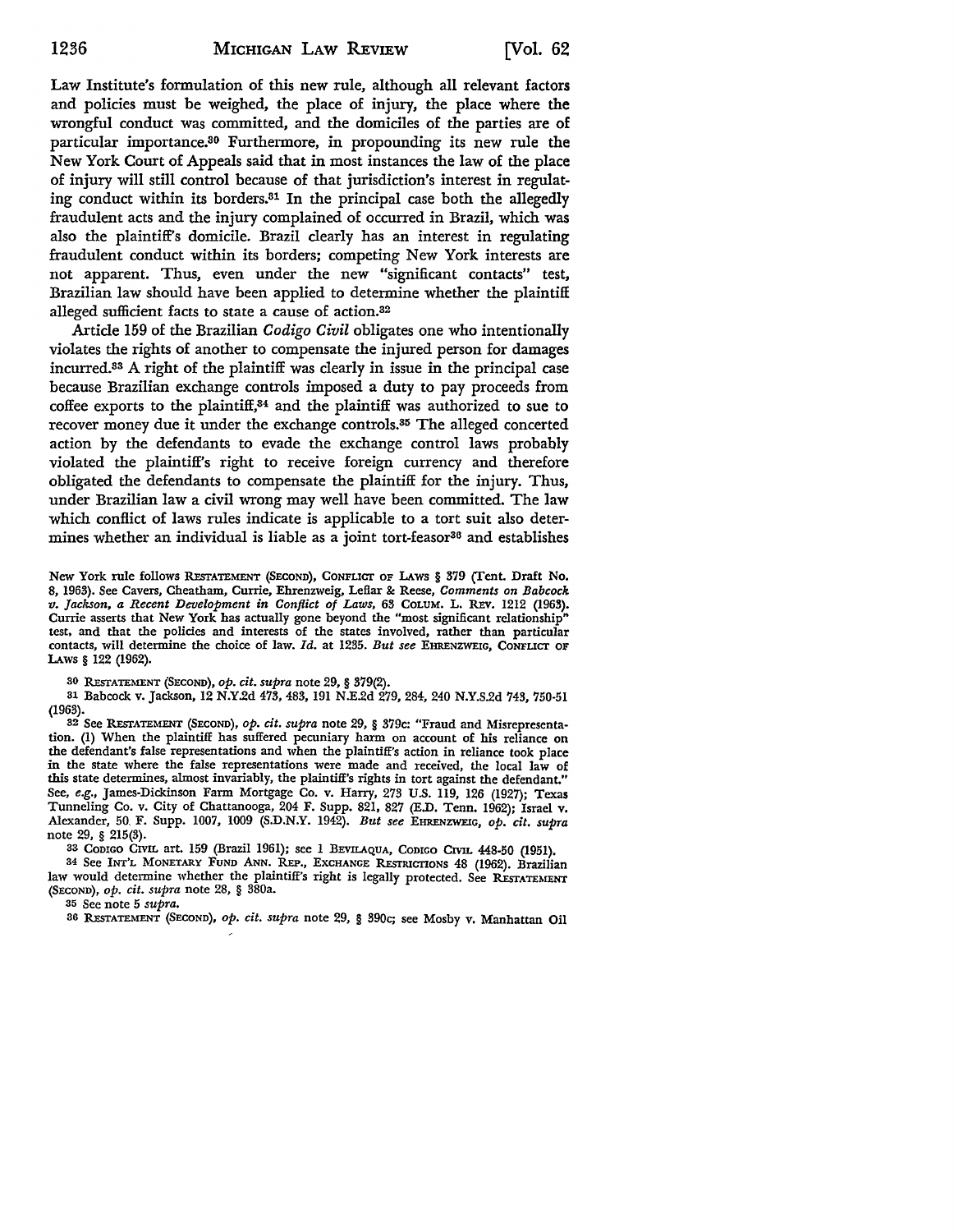Law Institute's formulation of this new rule, although all relevant factors and policies must be weighed, the place of injury, the place where the wrongful conduct was committed, and the domiciles of the parties are of particular importance.3° Furthermore, in propounding its new rule the New York Court of Appeals said that in most instances the law of the place of injury will still control because of that jurisdiction's interest in regulating conduct within its borders.31 In the principal case both the allegedly fraudulent acts and the injury complained of occurred in Brazil, which was also the plaintiff's domicile. Brazil clearly has an interest in regulating fraudulent conduct within its borders; competing New York interests are not apparent. Thus, even under the new "significant contacts" test, Brazilian law should have been applied to determine whether the plaintiff alleged sufficient facts to state a cause of action.32

Article 159 of the Brazilian *Codigo Civil* obligates one who intentionally violates the rights of another to compensate the injured person for damages incurred.33 A right of the plaintiff was clearly in issue in the principal case because Brazilian exchange controls imposed a duty to pay proceeds from coffee exports to the plaintiff,34 and the plaintiff was authorized to sue to recover money due it under the exchange controls.<sup>35</sup> The alleged concerted action by the defendants to evade the exchange control laws probably violated the plaintiff's right to receive foreign currency and therefore obligated the defendants to compensate the plaintiff for the injury. Thus, under Brazilian law a civil wrong may well have been committed. The law which conflict of laws rules indicate is applicable to a tort suit also determines whether an individual is liable as a joint tort-feasor<sup>36</sup> and establishes

New York rule follows RESTATEMENT (SECOND), CONFLICT OF LAWS § 379 (Tent. Draft No. 8, 1963). See Cavers, Cheatham, Currie, Ehrenzweig, Leflar &: Reese, *Comments on Babcock v. Jackson, a Recent Development in Conflict of Laws,* 63 COLUM. L. REv. 1212 (1963). Currie asserts that New York has actually gone beyond the "most significant relationship" test, and that the policies and interests of the states involved, rather than particular contacts, will determine the choice of law. *Id.* at 1235. *But see* EHRENZWEIG, CONFLICT OF LAws § 122 (1962).

30 REsTATEMENT (SECOND), *op. cit. supra* note 29, § 379(2).

31 Babcock v. Jackson, 12 N.Y.2d 473,483, 191 N.E.2d 279,284,240 N.Y.S.2d 743, 750-51 (1963).

32 See REsTATEMENT (SECOND), *op. cit. supra* note 29, § 379c: "Fraud and Misrepresentation. (1) When the plaintiff has suffered pecuniary harm on account of his reliance on the defendant's false representations and when the plaintiff's action in reliance took place in the state where the false representations were made and received, the local law of this state determines, almost invariably, the plaintiff's rights in tort against the defendant." See, *e.g.,* James-Dickinson Farm Mortgage Co. v. Harry, 273 U.S. 119, 126 (1927); Texas Tunneling Co. v. City of Chattanooga, 204 F. Supp. 821, 827 (E.D. Tenn. 1962); Israel v. Alexander, 50, F. Supp. 1007, 1009 (S.D.N.Y. 1942). *But see* EHRENZWEIG, *op. cit. supra*  note 29, § 215(3).

33 CoDIGO CIVIL art. 159 (Brazil 1961); see 1 BEVILAQUA, CODIGO CIVIL 448-50 (1951).

34 See !NT'L MONETARY FUND ANN. REP., EXCHANGE REsTRICTIONS 48 (1962). Brazilian law would determine whether the plaintiff's right is legally protected. See RESTATEMENT (SECOND), *op. cit. supra* note 28, § 380a.

35 See note 5 *supra.* 

36 REsTATEMENT (SECOND), *op. cit. supra* note 29, § 390c; see Mosby v. Manhattan Oil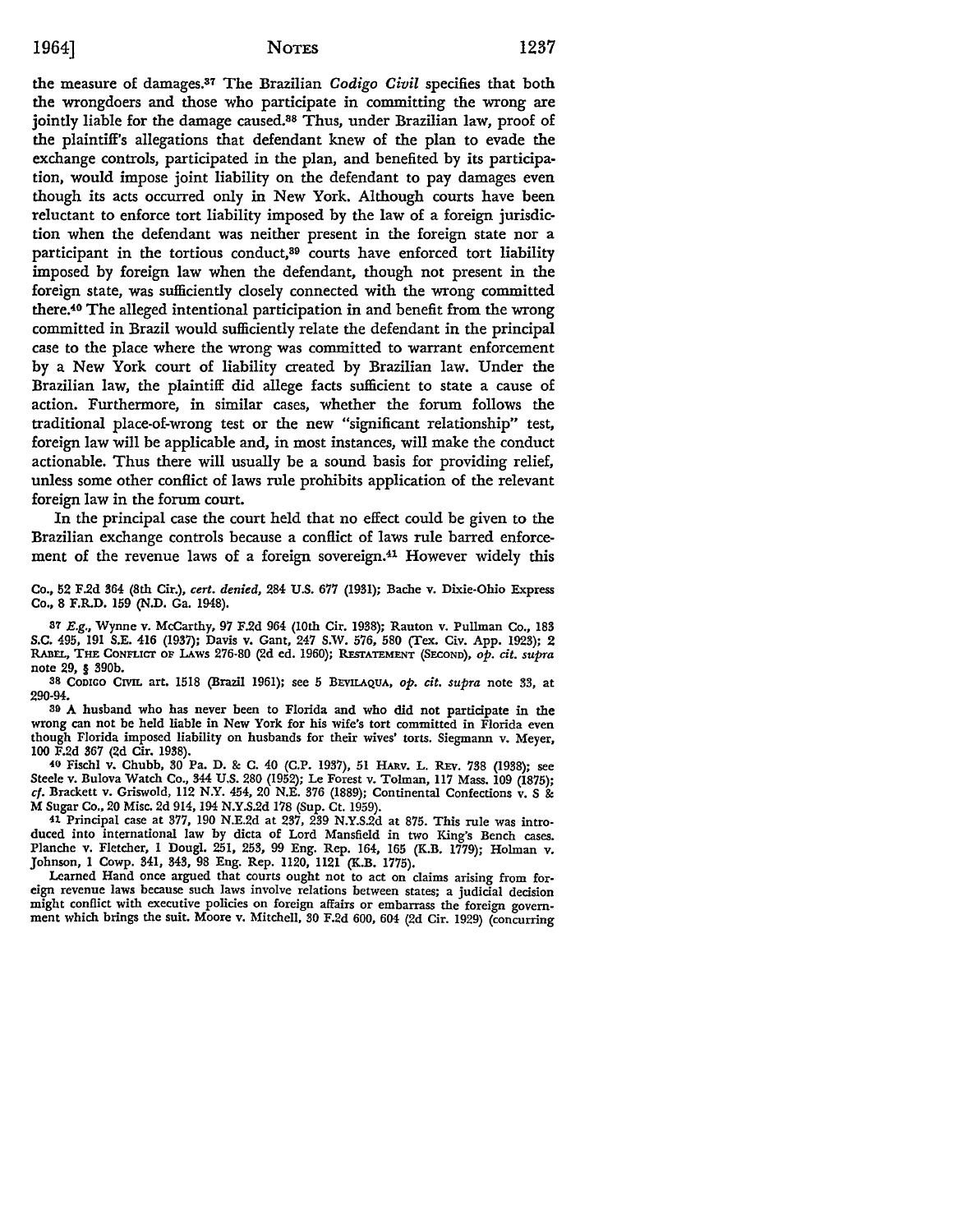the measure of damages.37 The Brazilian *Codigo Civil* specifies that both the wrongdoers and those who participate in committing the wrong are jointly liable for the damage caused.<sup>38</sup> Thus, under Brazilian law, proof of the plaintiff's allegations that defendant knew of the plan to evade the exchange controls, participated in the plan, and benefited by its participation, would impose joint liability on the defendant to pay damages even though its acts occurred only in New York. Although courts have been reluctant to enforce tort liability imposed by the law of a foreign jurisdiction when the defendant was neither present in the foreign state nor a participant in the tortious conduct,<sup>89</sup> courts have enforced tort liability imposed by foreign law when the defendant, though not present in the foreign state, was sufficiently closely connected with the wrong committed there:10 The alleged intentional participation in and benefit from the wrong committed in Brazil would sufficiently relate the defendant in the principal case to the place where the wrong was committed to warrant enforcement by a New York court of liability created by Brazilian law. Under the Brazilian law, the plaintiff did allege facts sufficient to state a cause of action. Furthermore, in similar cases, whether the forum follows the traditional place-of-wrong test or the new "significant relationship" test, foreign law will be applicable and, in most instances, will make the conduct actionable. Thus there will usually be a sound basis for providing relief, unless some other conflict of laws rule prohibits application of the relevant foreign law in the forum court.

In the principal case the court held that no effect could be given to the Brazilian exchange controls because a conflict of laws rule barred enforcement of the revenue laws of a foreign sovereign.41 However widely this

Co., 52 F.2d 364 (8th Cir.), *cert. denied,* 284 U.S. 677 (1931); Bache v. Dixie-Ohio Express Co., 8 F.R.D. 159 (N.D. Ga. 1948).

37 E.g., Wynne v. McCarthy, 97 F.2d 964 (10th Cir. 1938); Rauton v. Pullman Co., 183 S.C. 495, 191 S.E. 416 (1937); Davis v. Gant, 247 S.W. 576, 580 (Tex. Civ. App. 1923); 2 RABEL, THE CONFLICT OF LAws 276-80 (2d ed. 1960); REsrATEMENT (SECOND), *op. cit. supra*  note 29, § 390b.

38 CoDIGO CIVIL art. 1518 (Brazil 1961); see 5 BEVILAQUA, *op. cit. supra* note 33, at 290-94.

<sup>30</sup>A husband who has never been to Florida and who did not participate in the wrong can not be held liable in New York for his wife's tort committed in Florida even though Florida imposed liability on husbands for their wives' torts. Siegmann v. Meyer, 100 F.2d 367 (2d Cir. 1938).

40 Fischl v. Chubb, 30 Pa. D. & C. 40 (C.P. 1937), 51 HARV. L. REv. 738 (1938); see Steele v. Bulova Watch Co., 344 U.S. 280 (1952); Le Forest v. Tolman, II7 Mass. 109 (1875); cf. Brackett v. Griswold, 112 N.Y. 454, 20 N.E. 376 (1889); Continental Confections v. S & M Sugar Co., 20 Misc. 2d 914, 194 N.Y.S.2d 178 (Sup. Ct. 1959).

41 Principal case at 377, 190 N.E.2d at 237, 239 N.Y.S.2d at 875. This rule was introduced into international law by dicta of Lord Mansfield in two King's Bench cases. Planche v. Fletcher, 1 Dougl. 251, 253, 99 Eng. Rep. 164, 165 (K.B. 1779); Holman v. Johnson, l Cowp. 341, 343, 98 Eng. Rep. ll20, ll21 (K.B. 1775).

Learned Hand once argued that courts ought not to act on claims arising from foreign revenue laws because such laws involve relations between states; a judicial decision might conflict with executive policies on foreign affairs or embarrass the foreign government which brings the suit. Moore v. Mitchell, 30 F.2d 600, 604 (2d Cir. 1929) (concurring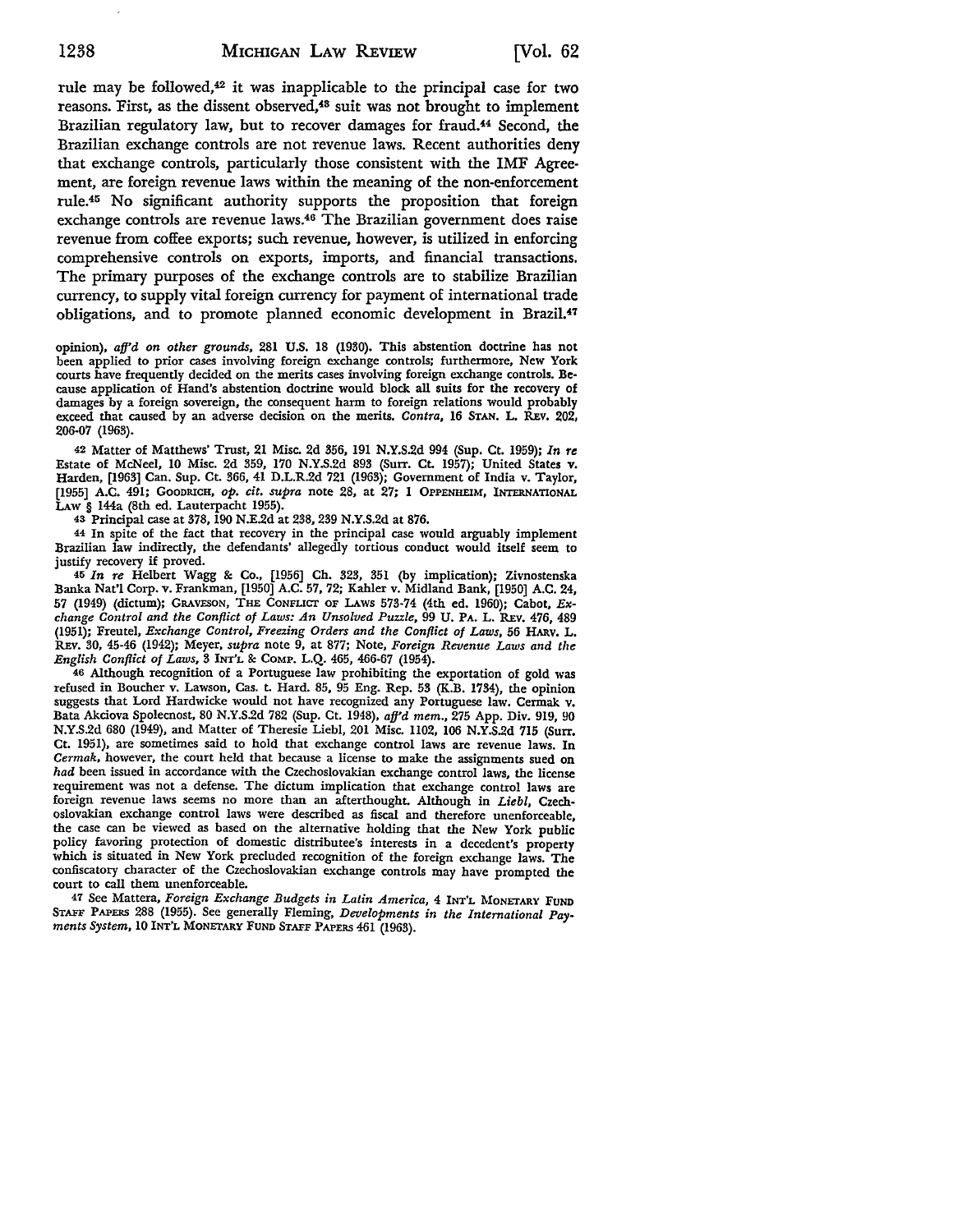rule may be followed,<sup>42</sup> it was inapplicable to the principal case for two reasons. First, as the dissent observed,<sup>48</sup> suit was not brought to implement Brazilian regulatory law, but to recover damages for fraud.44 Second, the Brazilian exchange controls are not revenue laws. Recent authorities deny that exchange controls, particularly those consistent with the IMF Agreement, are foreign revenue laws within the meaning of the non-enforcement rule.45 No significant authority supports the proposition that foreign exchange controls are revenue laws.46 The Brazilian government does raise revenue from coffee exports; such revenue, however, is utilized in enforcing comprehensive controls on exports, imports, and financial transactions. The primary purposes of the exchange controls are to stabilize Brazilian currency, to supply vital foreign currency for payment of international trade obligations, and to promote planned economic development in Brazil.47

opinion), *afj'd on other grounds,* 281 U.S. 18 (1930). This abstention doctrine has not been applied to prior cases involving foreign exchange controls; furthermore, New York courts have frequently decided on the merits cases involving foreign exchange controls. Because application of Hand's abstention doctrine would block all suits for the recovery of damages by a foreign sovereign, the consequent harm to foreign relations would probably exceed that caused by an adverse decision on the merits. *Contra,* 16 STAN. L. REv. 202, 206-07 (1963).

42 Matter of Matthews' Trust, 21 Misc. 2d 356, 191 N.Y.S.2d 994 (Sup. Ct. 1959); *In re*  Estate of McNeel, 10 Misc. 2d 359, 170 N.Y.S.2d 893 (Surr. Ct. 1957); United States v. Harden, (1963] Can. Sup. Ct. 366, 41 D.L.R.2d 721 (1963); Government of India v. Taylor, (1955] A.C. 491; GOODRICH, *op. cit. supra* note 28, at 27; 1 OPPENHEIM, INTERNATIONAL LAW § 144a (8th ed. Lauterpacht 1955).

43 Principal case at 378, 190 N.E.2d at 238, 239 N.Y.S.2d at 876.

44 In spite of the fact that recovery in the principal case would arguably implement Brazilian law indirectly, the defendants' allegedly tortious conduct would itself seem to justify recovery if proved.

45 *In re* Helbert Wagg 8: Co., (1956] Ch. 323, 351 (by implication); Zivnostenska Banka Nat'! Corp. v. Frankman, (1950] A.C. 57, 72; Kahler v. Midland Bank, (1950] A.C. 24, 57 (1949) (dictum); GRAVESON, THE CONFLICT OF LAws 573-74 (4th ed. 1960); Cabot, *Exchange Control and the Conflict of Laws: An Unsolved Puzzle,* 99 U. PA. L. REv. 476, 489 (1951); Freutel, *Exchange Control, Freezing Orders and the Conflict of Laws,* 56 HARV. L. REV. 30, 45-46 (1942); Meyer, *supra* note 9, at 877; Note, *Foreign Revenue Laws and the English Conflict of Laws,* 3 INT'L 8: COMP. L.Q. 465, 466-67 (1954).

46 Although recognition of a Portuguese law prohibiting the exportation of gold was refused in Boucher v. Lawson, Cas. t. Hard. 85, 95 Eng. Rep. 53 (K.B. 1734), the opinion suggests that Lord Hardwicke would not have recognized any Portuguese law. Cermak v. Bata Akciova Spolecnost, 80 N.Y.S.2d 782 (Sup. Ct. 1948), *afj'd mem.,* 275 App. Div. 919, 90 N.Y.S.2d 680 (1949), and Matter of Theresie Liebl, 201 Misc. 1102, 106 N.Y.S.2d 715 (Surr. Ct. 1951), are sometimes said to hold that exchange control laws are revenue laws. In *Cermak,* however, the court held that because a license to make the assignments sued on *had* been issued in accordance with the Czechoslovakian exchange control laws, the license requirement was not a defense. The dictum implication that exchange control laws are foreign revenue laws seems no more than an afterthought. Although in *Liebl,* Czechoslovakian exchange control laws were described as fiscal and therefore unenforceable, the case can be viewed as based on the alternative holding that the New York public policy favoring protection of domestic distributee's interests in a decedent's property which is situated in New York precluded recognition of the foreign exchange laws. The confiscatory character of the Czechoslovakian exchange controls may have prompted the court to call them unenforceable.

47 See Mattera, *Foreign Exchange Budgets in Latin America,* 4 INT'L MONETARY FUND STAFF PAPERS 288 (1955). See generally Fleming, *Developments in the International Pay• ments System,* 10 INT'L MONETARY FUND STAFF PAPERS 461 (1963).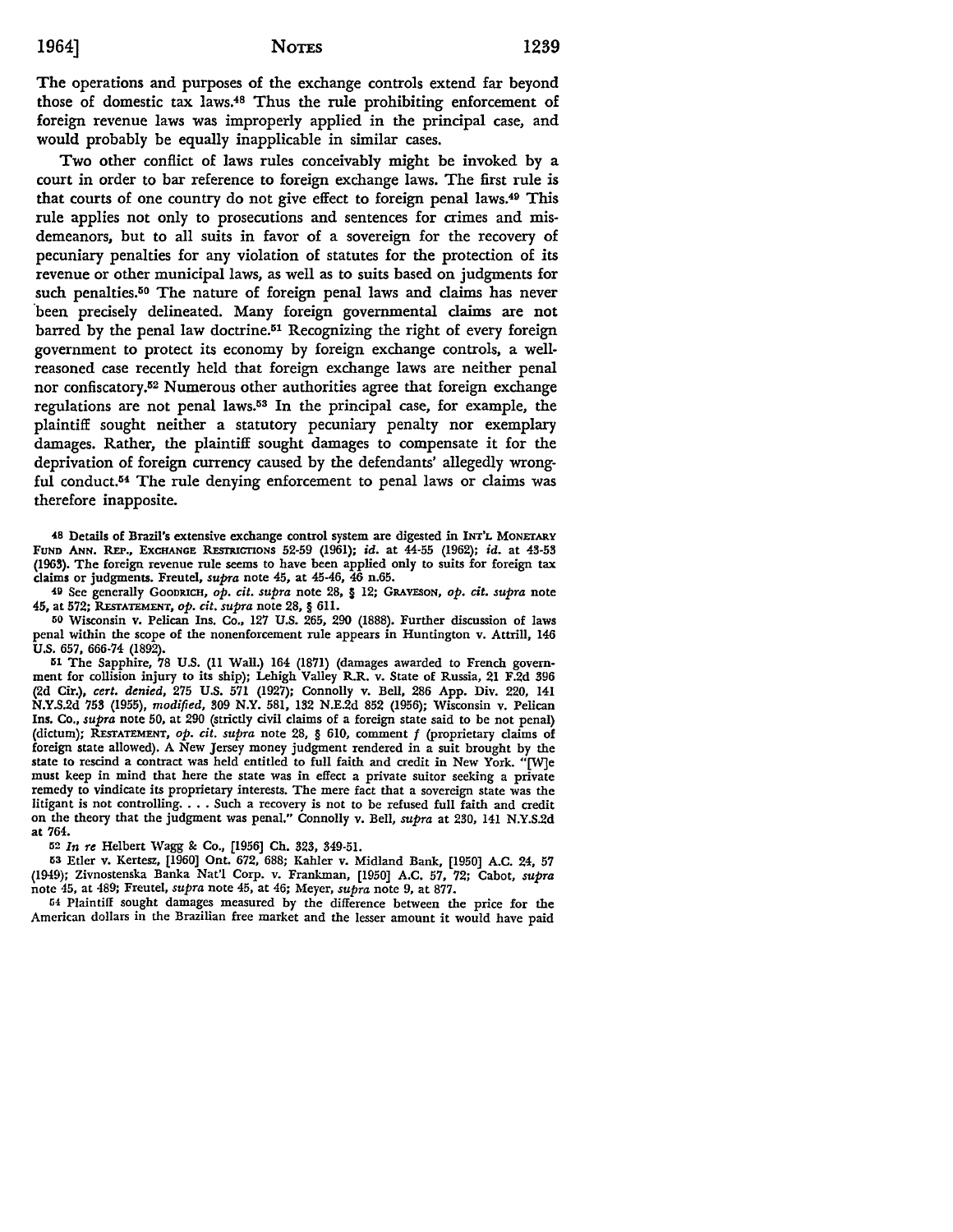The operations and purposes of the exchange controls extend far beyond those of domestic tax laws.48 Thus the rule prohibiting enforcement of foreign revenue laws was improperly applied in the principal case, and would probably be equally inapplicable in similar cases.

Two other conflict of laws rules conceivably might be invoked by a court in order to bar reference to foreign exchange laws. The first rule is that courts of one country do not give effect to foreign penal Iaws.49 This rule applies not only to prosecutions and sentences for crimes and misdemeanors, but to all suits in favor of a sovereign for the recovery of pecuniary penalties for any violation of statutes for the protection of its revenue or other municipal laws, as well as to suits based on judgments for such penalties.<sup>50</sup> The nature of foreign penal laws and claims has never been precisely delineated. Many foreign governmental claims are not barred by the penal law doctrine.<sup>51</sup> Recognizing the right of every foreign government to protect its economy by foreign exchange controls, a wellreasoned case recently held that foreign exchange laws are neither penal nor confiscatory.52 Numerous other authorities agree that foreign exchange regulations are not penal laws.53 In the principal case, for example, the plaintiff sought neither a statutory pecuniary penalty nor exemplary damages. Rather, the plaintiff sought damages to compensate it for the deprivation of foreign currency caused by the defendants' allegedly wrongful conduct.54 The rule denying enforcement to penal laws or claims was therefore inapposite.

48 Details of Brazil's extensive exchange control system are digested in INT'L MONETARY FUND ANN. REP., EXCHANGE RESTRICTIONS 52-59 (1961); id. at 44-55 (1962); id. at 43-53 (1963). The foreign revenue rule seems to have been applied only to suits for foreign tax claims or judgments. Freutel, *supra* note 45, at 45-46, 46 n.65.

411 See generally GOODRICH, *op. cit. supra* note 28, § 12; GRAVESoN, *op. cit. supra* note 45, at 572; R.EsTATEMENT, *op. cit. supra* note 28, § 611.

50 Wisconsin v. Pelican Ins. Co., 127 U.S. 265, 290 (1888). Further discussion of laws penal within the scope of the nonenforcement rule appears in Huntington v. Attrill, 146 U.S. 657, 666-74 (1892).

51 The Sapphire, 78 U.S. (11 Wall.) 164 (1871) (damages awarded to French government for collision injury to its ship); Lehigh Valley R.R. v. State of Russia, 21 F.2d 396 (2d Cir.), *cert. denied,* 275 U.S. 571 (1927); Connolly v. Bell, 286 App. Div. 220, 141 N.Y.S.2d 753 (1955), *modified,* 309 N.Y. 581, 132 N.E.2d 852 (1956); Wisconsin v. Pelican Ins. Co., *supra* note 50, at 290 (strictly civil claims of a foreign state said to be not penal) (dictum); R.EsTATEMENT, *op. cit. supra* note 28, § 610, comment f (proprietary claims of foreign state allowed). A New Jersey money judgment rendered in a suit brought by the state to rescind a contract was held entitled to full faith and credit in New York. "[W]e must keep in mind that here the state was in effect a private suitor seeking a private remedy to vindicate its proprietary interests. The mere fact that a sovereign state was the litigant is not controlling ..•• Such a recovery is not to be refused full faith and credit on the theory that the judgment was penal." Connolly v. Bell, *supra* at 230, 141 N.Y.S.2d **at** 764.

<sup>52</sup>*In re* Helbert Wagg &: Co., (1956] Ch. 323, 349-51.

53 Etier v. Kertesz, [1960] Ont. 672, 688; Kahler v. Midland Bank, (1950] A.C. 24, 57 (1949); Zivnostenska Banka Nat'l Corp. v. Frankman, (1950] A.C. 57, 72; Cabot, *supra*  note 45, at 489; Freutel, *supra* note 45, at 46; Meyer, *supra* note 9, at 877.

li4 Plaintiff sought damages measured by the difference between the price for the American dollars in the Brazilian free market and the lesser amount it would have paid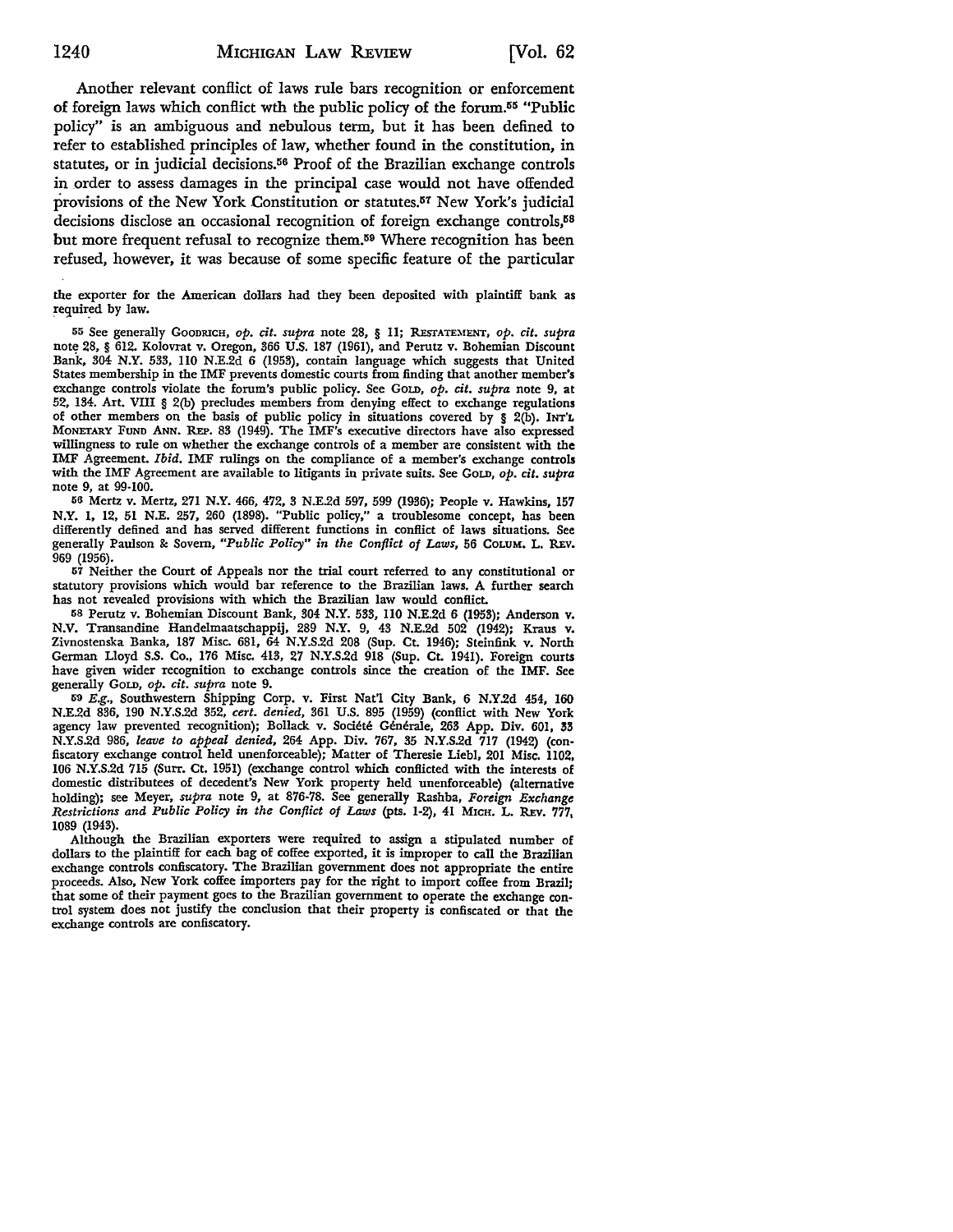Another relevant conflict of laws rule bars recognition or enforcement of foreign laws which conflict wth the public policy of the forum.55 "Public policy" is an ambiguous and nebulous term, but it has been defined to refer to established principles of law, whether found in the constitution, in statutes, or in judicial decisions.56 Proof of the Brazilian exchange controls in order to assess damages in the principal case would not have offended provisions of the New York Constitution or statutes.57 New York's judicial decisions disclose an occasional recognition of foreign exchange controls,<sup>58</sup> but more frequent refusal to recognize them.59 Where recognition has been refused, however, it was because of some specific feature of the particular

the exporter for the American dollars had they been deposited with plaintiff bank as required by law.

55 See generally GooDRICH, *op. cit. supra* note 28, § 11; REsTATEMENT, *op. cit. supra*  note 28, § 612. Kolovrat v. Oregon, 366 U.S. 187 (1961), and Perutz v. Bohemian Discount Bank, 304 **N.Y.** 533, 110 N.E.2d 6 (1953), contain language which suggests that United States membership in the IMF prevents domestic courts from finding that another member's exchange controls violate the forum's public policy. See GoLD, op. cit. supra note 9, at 52, 134. Art. VIII § 2(b) precludes members from denying effect to exchange regulations of other members on the basis of public policy in situations covered by § 2(b). INT'L MONETARY FUND ANN. REP. 83 (1949). The IMF's executive directors have also expressed willingness to rule on whether the exchange controls of a member arc consistent with the IMF Agreement. *Ibid.* IMF rulings on the compliance of a member's exchange controls with the IMF Agreement are available to litigants in private suits. See GoLD, *op. cit. supra* note 9, at 99-100.

56 Mertz v. Mertz, 271 N.Y. 466, 472, 3 N.E.2d 597, 599 (1936); People v. Hawkins, 157 N.Y. 1, 12, 51 N.E. 257, 260 (1898). "Public policy," a troublesome concept, has been differently defined and has served different functions in conflict of laws situations. See generally Paulson &: Sovern, *"Public Policy" in the Conflict of Laws,* 56 CoLUM. L. REV. 969 (1956).

57 Neither the Court of Appeals nor the trial court referred to any constitutional or statutory provisions which would bar reference to the Brazilian laws. A further search has not revealed provisions with which the Brazilian law would conflict.

58 Perutz v. Bohemian Discount Bank, 304 N.Y. 533, 110 N.E.2d 6 (1953); Anderson v. N.V. Transandine Handelmaatschappij, 289 N.Y. 9, 43 N.E.2d 502 (1942); Kraus v. Zivnostenska Banka, 187 Misc. 681, 64 N.Y.S.2d 208 (Sup. CL 1946); Steinfink v. North German Lloyd S.S. Co., 176 Misc. 413, 27 N.Y.S.2d 918 (Sup. CL 1941). Foreign courts have given wider recognition to exchange controls since the creation of the IMF. See generally GoLD, *op. cit. supra* note 9.

59 *E.g.,* Southwestern Shipping Corp. v. First Nat'! City Bank, 6 N.Y.2d 454, 160 N.E.2d 836, 190 N.Y.S.2d 352, *cert. denied,* 361 U.S. 895 (1959) (conflict with New York agency law prevented recognition); Bollack v. Société Générale, 263 App. Div. 601, 33 N.Y.S.2d 986, *leave to appeal denied,* 264 App. Div. 767, 35 N.Y.S.2d 717 (1942) (confiscatory exchange control held unenforceable); Matter of Theresie Liebl, 201 Misc. 1102, 106 N.Y.S.2d 715 (Surr. Ct. 1951) (exchange control which conflicted with the interests of domestic distributees of decedent's New York property held unenforceable) (alternative holding); see Meyer, *supra* note 9, at 876-78. See generally Rashba, *Foreign Exchange Restrictions and Public Policy in the Conflict of Laws* (pts. 1-2), 41 MICH. L. REv. 777, 1089 (1943).

Although the Brazilian exporters were required to assign a stipulated number of dollars to the plaintiff for each bag of coffee exported, it is improper to call the Brazilian exchange controls confiscatory. The Brazilian government does not appropriate the entire proceeds. Also, New York coffee importers pay for the right to import coffee from Brazil; that some of their payment goes to the Brazilian government to operate the exchange control system does not justify the conclusion that their property is confiscated or that the exchange controls are confiscatory.